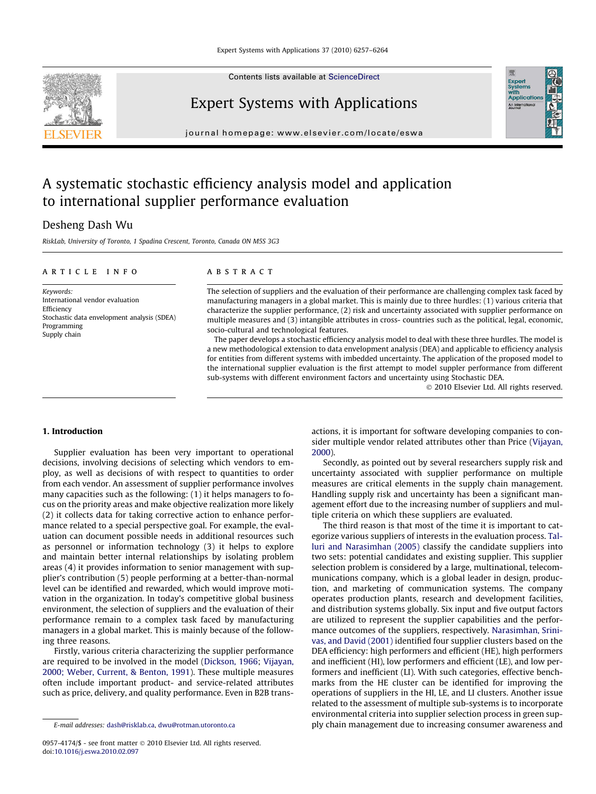Contents lists available at [ScienceDirect](http://www.sciencedirect.com/science/journal/09574174)

Expert Systems with Applications



# Expert<br>Systems<br>with<br>Applicati

## A systematic stochastic efficiency analysis model and application to international supplier performance evaluation

### Desheng Dash Wu

RiskLab, University of Toronto, 1 Spadina Crescent, Toronto, Canada ON M5S 3G3

#### article info

Keywords: International vendor evaluation Efficiency Stochastic data envelopment analysis (SDEA) Programming Supply chain

#### **ABSTRACT**

The selection of suppliers and the evaluation of their performance are challenging complex task faced by manufacturing managers in a global market. This is mainly due to three hurdles: (1) various criteria that characterize the supplier performance, (2) risk and uncertainty associated with supplier performance on multiple measures and (3) intangible attributes in cross- countries such as the political, legal, economic, socio-cultural and technological features.

The paper develops a stochastic efficiency analysis model to deal with these three hurdles. The model is a new methodological extension to data envelopment analysis (DEA) and applicable to efficiency analysis for entities from different systems with imbedded uncertainty. The application of the proposed model to the international supplier evaluation is the first attempt to model suppler performance from different sub-systems with different environment factors and uncertainty using Stochastic DEA.

- 2010 Elsevier Ltd. All rights reserved.

#### 1. Introduction

Supplier evaluation has been very important to operational decisions, involving decisions of selecting which vendors to employ, as well as decisions of with respect to quantities to order from each vendor. An assessment of supplier performance involves many capacities such as the following: (1) it helps managers to focus on the priority areas and make objective realization more likely (2) it collects data for taking corrective action to enhance performance related to a special perspective goal. For example, the evaluation can document possible needs in additional resources such as personnel or information technology (3) it helps to explore and maintain better internal relationships by isolating problem areas (4) it provides information to senior management with supplier's contribution (5) people performing at a better-than-normal level can be identified and rewarded, which would improve motivation in the organization. In today's competitive global business environment, the selection of suppliers and the evaluation of their performance remain to a complex task faced by manufacturing managers in a global market. This is mainly because of the following three reasons.

Firstly, various criteria characterizing the supplier performance are required to be involved in the model [\(Dickson, 1966;](#page--1-0) [Vijayan,](#page--1-0) [2000; Weber, Current, & Benton, 1991](#page--1-0)). These multiple measures often include important product- and service-related attributes such as price, delivery, and quality performance. Even in B2B transactions, it is important for software developing companies to consider multiple vendor related attributes other than Price [\(Vijayan,](#page--1-0) [2000](#page--1-0)).

Secondly, as pointed out by several researchers supply risk and uncertainty associated with supplier performance on multiple measures are critical elements in the supply chain management. Handling supply risk and uncertainty has been a significant management effort due to the increasing number of suppliers and multiple criteria on which these suppliers are evaluated.

The third reason is that most of the time it is important to categorize various suppliers of interests in the evaluation process. [Tal](#page--1-0)[luri and Narasimhan \(2005\)](#page--1-0) classify the candidate suppliers into two sets: potential candidates and existing supplier. This supplier selection problem is considered by a large, multinational, telecommunications company, which is a global leader in design, production, and marketing of communication systems. The company operates production plants, research and development facilities, and distribution systems globally. Six input and five output factors are utilized to represent the supplier capabilities and the performance outcomes of the suppliers, respectively. [Narasimhan, Srini](#page--1-0)[vas, and David \(2001\)](#page--1-0) identified four supplier clusters based on the DEA efficiency: high performers and efficient (HE), high performers and inefficient (HI), low performers and efficient (LE), and low performers and inefficient (LI). With such categories, effective benchmarks from the HE cluster can be identified for improving the operations of suppliers in the HI, LE, and LI clusters. Another issue related to the assessment of multiple sub-systems is to incorporate environmental criteria into supplier selection process in green supply chain management due to increasing consumer awareness and

E-mail addresses: [dash@risklab.ca,](mailto:dash@risklab.ca) [dwu@rotman.utoronto.ca](mailto:dwu@rotman.utoronto.ca)

<sup>0957-4174/\$ -</sup> see front matter © 2010 Elsevier Ltd. All rights reserved. doi[:10.1016/j.eswa.2010.02.097](http://dx.doi.org/10.1016/j.eswa.2010.02.097)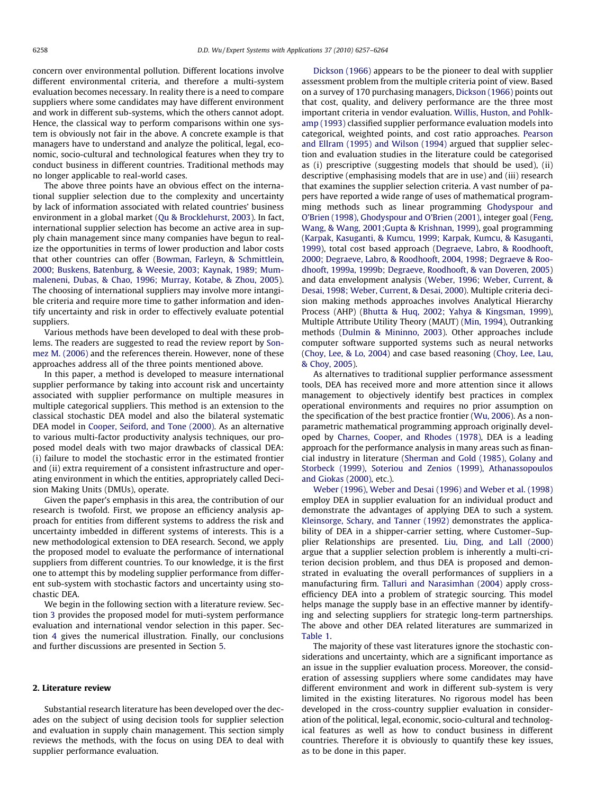concern over environmental pollution. Different locations involve different environmental criteria, and therefore a multi-system evaluation becomes necessary. In reality there is a need to compare suppliers where some candidates may have different environment and work in different sub-systems, which the others cannot adopt. Hence, the classical way to perform comparisons within one system is obviously not fair in the above. A concrete example is that managers have to understand and analyze the political, legal, economic, socio-cultural and technological features when they try to conduct business in different countries. Traditional methods may no longer applicable to real-world cases.

The above three points have an obvious effect on the international supplier selection due to the complexity and uncertainty by lack of information associated with related countries' business environment in a global market [\(Qu & Brocklehurst, 2003\)](#page--1-0). In fact, international supplier selection has become an active area in supply chain management since many companies have begun to realize the opportunities in terms of lower production and labor costs that other countries can offer [\(Bowman, Farleyn, & Schmittlein,](#page--1-0) [2000; Buskens, Batenburg, & Weesie, 2003; Kaynak, 1989; Mum](#page--1-0)[maleneni, Dubas, & Chao, 1996; Murray, Kotabe, & Zhou, 2005\)](#page--1-0). The choosing of international suppliers may involve more intangible criteria and require more time to gather information and identify uncertainty and risk in order to effectively evaluate potential suppliers.

Various methods have been developed to deal with these problems. The readers are suggested to read the review report by [Son](#page--1-0)[mez M. \(2006\)](#page--1-0) and the references therein. However, none of these approaches address all of the three points mentioned above.

In this paper, a method is developed to measure international supplier performance by taking into account risk and uncertainty associated with supplier performance on multiple measures in multiple categorical suppliers. This method is an extension to the classical stochastic DEA model and also the bilateral systematic DEA model in [Cooper, Seiford, and Tone \(2000\)](#page--1-0). As an alternative to various multi-factor productivity analysis techniques, our proposed model deals with two major drawbacks of classical DEA: (i) failure to model the stochastic error in the estimated frontier and (ii) extra requirement of a consistent infrastructure and operating environment in which the entities, appropriately called Decision Making Units (DMUs), operate.

Given the paper's emphasis in this area, the contribution of our research is twofold. First, we propose an efficiency analysis approach for entities from different systems to address the risk and uncertainty imbedded in different systems of interests. This is a new methodological extension to DEA research. Second, we apply the proposed model to evaluate the performance of international suppliers from different countries. To our knowledge, it is the first one to attempt this by modeling supplier performance from different sub-system with stochastic factors and uncertainty using stochastic DEA.

We begin in the following section with a literature review. Section [3](#page--1-0) provides the proposed model for muti-system performance evaluation and international vendor selection in this paper. Section [4](#page--1-0) gives the numerical illustration. Finally, our conclusions and further discussions are presented in Section [5.](#page--1-0)

#### 2. Literature review

Substantial research literature has been developed over the decades on the subject of using decision tools for supplier selection and evaluation in supply chain management. This section simply reviews the methods, with the focus on using DEA to deal with supplier performance evaluation.

[Dickson \(1966\)](#page--1-0) appears to be the pioneer to deal with supplier assessment problem from the multiple criteria point of view. Based on a survey of 170 purchasing managers, [Dickson \(1966\)](#page--1-0) points out that cost, quality, and delivery performance are the three most important criteria in vendor evaluation. [Willis, Huston, and Pohlk](#page--1-0)[amp \(1993\)](#page--1-0) classified supplier performance evaluation models into categorical, weighted points, and cost ratio approaches. [Pearson](#page--1-0) [and Ellram \(1995\) and Wilson \(1994\)](#page--1-0) argued that supplier selection and evaluation studies in the literature could be categorised as (i) prescriptive (suggesting models that should be used), (ii) descriptive (emphasising models that are in use) and (iii) research that examines the supplier selection criteria. A vast number of papers have reported a wide range of uses of mathematical programming methods such as linear programming [Ghodyspour and](#page--1-0) [O'Brien \(1998\), Ghodyspour and O'Brien \(2001\)](#page--1-0), integer goal [\(Feng,](#page--1-0) [Wang, & Wang, 2001;Gupta & Krishnan, 1999](#page--1-0)), goal programming (Karpak, Kasuganti, [& Kumcu, 1999; Karpak, Kumcu, & Kasuganti,](#page--1-0) [1999\)](#page--1-0), total cost based approach ([Degraeve, Labro, & Roodhooft,](#page--1-0) [2000; Degraeve, Labro, & Roodhooft, 2004, 1998; Degraeve & Roo](#page--1-0)[dhooft, 1999a, 1999b; Degraeve, Roodhooft, & van Doveren, 2005\)](#page--1-0) and data envelopment analysis ([Weber, 1996; Weber, Current, &](#page--1-0) [Desai, 1998; Weber, Current, & Desai, 2000](#page--1-0)). Multiple criteria decision making methods approaches involves Analytical Hierarchy Process (AHP) ([Bhutta & Huq, 2002; Yahya & Kingsman, 1999\)](#page--1-0), Multiple Attribute Utility Theory (MAUT) ([Min, 1994\)](#page--1-0), Outranking methods [\(Dulmin & Mininno, 2003](#page--1-0)). Other approaches include computer software supported systems such as neural networks ([Choy, Lee, & Lo, 2004\)](#page--1-0) and case based reasoning [\(Choy, Lee, Lau,](#page--1-0) [& Choy, 2005](#page--1-0)).

As alternatives to traditional supplier performance assessment tools, DEA has received more and more attention since it allows management to objectively identify best practices in complex operational environments and requires no prior assumption on the specification of the best practice frontier ([Wu, 2006](#page--1-0)). As a nonparametric mathematical programming approach originally developed by [Charnes, Cooper, and Rhodes \(1978\),](#page--1-0) DEA is a leading approach for the performance analysis in many areas such as financial industry in literature ([Sherman and Gold \(1985\), Golany and](#page--1-0) [Storbeck \(1999\), Soteriou and Zenios \(1999\), Athanassopoulos](#page--1-0) [and Giokas \(2000\)](#page--1-0), etc.).

[Weber \(1996\), Weber and Desai \(1996\) and Weber et al. \(1998\)](#page--1-0) employ DEA in supplier evaluation for an individual product and demonstrate the advantages of applying DEA to such a system. [Kleinsorge, Schary, and Tanner \(1992\)](#page--1-0) demonstrates the applicability of DEA in a shipper-carrier setting, where Customer–Supplier Relationships are presented. [Liu, Ding, and Lall \(2000\)](#page--1-0) argue that a supplier selection problem is inherently a multi-criterion decision problem, and thus DEA is proposed and demonstrated in evaluating the overall performances of suppliers in a manufacturing firm. [Talluri and Narasimhan \(2004\)](#page--1-0) apply crossefficiency DEA into a problem of strategic sourcing. This model helps manage the supply base in an effective manner by identifying and selecting suppliers for strategic long-term partnerships. The above and other DEA related literatures are summarized in [Table 1.](#page--1-0)

The majority of these vast literatures ignore the stochastic considerations and uncertainty, which are a significant importance as an issue in the supplier evaluation process. Moreover, the consideration of assessing suppliers where some candidates may have different environment and work in different sub-system is very limited in the existing literatures. No rigorous model has been developed in the cross-country supplier evaluation in consideration of the political, legal, economic, socio-cultural and technological features as well as how to conduct business in different countries. Therefore it is obviously to quantify these key issues, as to be done in this paper.